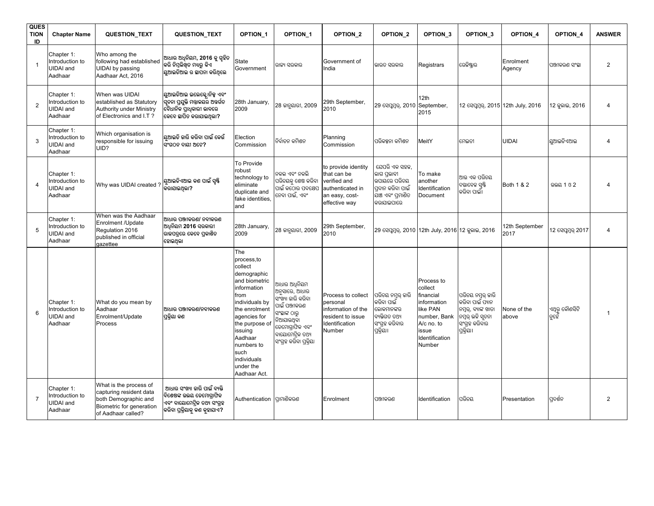| <b>QUES</b><br><b>TION</b><br>ID | <b>Chapter Name</b>                                          | QUESTION_TEXT                                                                                                               | <b>QUESTION_TEXT</b>                                                                                                  | OPTION <sub>1</sub>                                                                                                                                                                                                                               | OPTION <sub>1</sub>                                                                                                                                             | OPTION <sub>2</sub>                                                                                       | OPTION <sub>2</sub>                                                                                   | OPTION <sub>3</sub>                                                                                                              | OPTION <sub>3</sub>                                                                                           | OPTION <sub>4</sub>    | OPTION <sub>4</sub>    | <b>ANSWER</b>  |
|----------------------------------|--------------------------------------------------------------|-----------------------------------------------------------------------------------------------------------------------------|-----------------------------------------------------------------------------------------------------------------------|---------------------------------------------------------------------------------------------------------------------------------------------------------------------------------------------------------------------------------------------------|-----------------------------------------------------------------------------------------------------------------------------------------------------------------|-----------------------------------------------------------------------------------------------------------|-------------------------------------------------------------------------------------------------------|----------------------------------------------------------------------------------------------------------------------------------|---------------------------------------------------------------------------------------------------------------|------------------------|------------------------|----------------|
| $\overline{1}$                   | Chapter 1:<br>Introduction to<br><b>UIDAI</b> and<br>Aadhaar | Who among the<br>following had established<br><b>UIDAI</b> by passing<br>Aadhaar Act. 2016                                  | ଆଧାର ଅଧିନିୟମ, 2016 କୁ ଗୃହିତ<br>କରି ନିମ୍ନଲିଖତ ମଧ୍ୟର କିଏ<br>ୟୁଆଇଡିଆଇ ର ଛାପନା କରିଥିଲେ                                    | <b>State</b><br>Government                                                                                                                                                                                                                        | ରାଜ୍ୟ ସରକାର                                                                                                                                                     | Government of<br>India                                                                                    | ଭାରତ ସରକାର                                                                                            | Registrars                                                                                                                       | ରେଜିଷ୍ଟାର                                                                                                     | Enrolment<br>Agency    | ପଞ୍ଜୀକରଣ ସଂସ୍ଥା        | $\overline{2}$ |
| $\overline{2}$                   | Chapter 1:<br>Introduction to<br><b>UIDAI</b> and<br>Aadhaar | When was UIDAI<br>established as Statutory<br>Authority under Ministry<br>of Electronics and I.T?                           | ୟୁଆଇଡିଆଇ ଇଲେକ୍ଟୋନିକ୍ସ ଏବଂ<br>ସ୍ତନା ପ୍ରଯୁକ୍ତି ମନ୍ତାଳୟର ଅତର୍ଗତ<br>ବୈଧାନିକ ପ୍ରାଧିକାରୀ ଭାବରେ<br>କେବେ ଛାପିତ କରାଯାଇଥିଲା?    | 28th January,<br>2009                                                                                                                                                                                                                             | 28 ଜାନୁୟାରୀ, 2009                                                                                                                                               | 29th September,<br>2010                                                                                   | 29 ସେପୁମ୍ବର, 2010 September,                                                                          | 12th<br>2015                                                                                                                     | 12 ସେପୁମ୍ବର୍, 2015 12th July, 2016                                                                            |                        | 12 କୁଲାଇ, 2016         | 4              |
| 3                                | Chapter 1:<br>Introduction to<br><b>UIDAI</b> and<br>Aadhaar | Which organisation is<br>responsible for issuing<br>UID?                                                                    | ୟଆଇଡି ଜାରି କରିବା ପାଇଁ କେଉଁ<br>ସଂଗଠନ ଦାୟୀ ଅଟେ?                                                                         | Election<br>Commission                                                                                                                                                                                                                            | ନିର୍ବାଚନ କମିଶନ                                                                                                                                                  | Planning<br>Commission                                                                                    | ପରିକଳ୍ପନା କମିଶନ                                                                                       | MeitY                                                                                                                            | ମେଇତୀ                                                                                                         | <b>UIDAI</b>           | ଯୁଆଇଡିଏଆଇ              | 4              |
| $\overline{\mathbf{4}}$          | Chapter 1:<br>Introduction to<br><b>UIDAI</b> and<br>Aadhaar | Why was UIDAI created?                                                                                                      | ୟୁଆଇଡିଏଆଇ କଣ ପାଇଁ ସ୍ୟି<br>କରାଯାଇଥିଲା?                                                                                 | To Provide<br>robust<br>technology to<br>eliminate<br>duplicate and<br>fake identities.<br>and                                                                                                                                                    | ନକଲ ଏବଂ ନକଲି<br>ପରିଚୟକୁ ଶେଷ କରିବା<br>ପାଇଁ କଠୋର ପଦକ୍ଷେପ<br>ନେବା ପାଇଁ, ଏବଂ                                                                                        | to provide identity<br>that can be<br>verified and<br>authenticated in<br>an easy, cost-<br>effective way | ଯେପରି ଏକ ସହଜ,<br>ଲାଗ ପ୍ରଭାବୀ<br>ଉପାୟରେ ପରିଚୟ<br>ପ୍ରଦାନ କରିବା ପାଇଁ<br>ଯାଞ୍ଚ ଏବଂ ପ୍ରମାଶିତ<br>କରାଯାଇପାରେ | To make<br>another<br>Identification<br>Document                                                                                 | ଆଉ ଏକ ପରିଚୟ<br>ଦସ୍ତାବେଜ ସ୍ୱଷ୍ଟି<br>ନରିବା ପାଇଁ।                                                                | Both 1 & 2             | ଉଭୟ 1 ଓ 2              | 4              |
| 5                                | Chapter 1:<br>Introduction to<br><b>UIDAI</b> and<br>Aadhaar | When was the Aadhaar<br>Enrolment /Update<br>Regulation 2016<br>published in official<br>gazettee                           | ଆଧାର ପଞ୍ଜୀକରଣ/ ନବୀକରଣ<br>ଅଧନିୟମ 2016 ସରକାରୀ<br>ରାଜପତ୍ତରେ କେବେ ପ୍ରକାଶିତ<br>ହୋଇଥିଲା                                     | 28th January.<br>2009                                                                                                                                                                                                                             | 28 ଜାନୁୟାରୀ, 2009                                                                                                                                               | 29th September,<br>2010                                                                                   | 29 ସେପ୍ଟମ୍ବର, 2010 12th July, 2016 12 କୁଲାଇ, 2016                                                     |                                                                                                                                  |                                                                                                               | 12th September<br>2017 | 12 ସେପ୍ଟମ୍ବର୍ 2017     | 4              |
| 6                                | Chapter 1:<br>Introduction to<br><b>UIDAI</b> and<br>Aadhaar | What do you mean by<br>Aadhaar<br>Enrolment/Update<br>Process                                                               | ଆଧାର ପଞ୍ଜୀକରଣ/ନବୀକରଣ<br>ପ୍ରକ୍ରିୟା କଣ                                                                                  | The<br>process, to<br>collect<br>demographic<br>and biometric<br>information<br>from<br>individuals by<br>the enrolment<br>agencies for<br>the purpose of<br>issuing<br>Aadhaar<br>numbers to<br>such<br>individuals<br>under the<br>Aadhaar Act. | ଆଧାର ଅଧିନିୟମ<br>ଅନସାରେ, ଆଧାର<br>ସଂଖ୍ୟା ଜାରି କରିବା<br>ପାଇଁ ପଞ୍ଜୀକରଣ<br>ସଂସ୍ଥାଙ୍କ ଠାରୁ<br>ନିଆଯାଉଥିବା<br>ଡେମୋଗାଫିକ ଏବଂ<br>ବାୟୋମେଟିକ ତଥ୍ୟ<br>ସଂଗ୍ରହ କରିବା ପ୍ରକ୍ରିୟା | Process to collect<br>personal<br>information of the<br>resident to issue<br>Identification<br>Number     | ପରିଚୟ ନମ୍ବର୍ ଜାରି<br>କରିବା ପାଇଁ<br>ଲୋକମାନଙ୍କର<br>ବ୍ୟକ୍ତିଗତ ତଥ୍ୟ<br>ସଂଗ୍ରହ କରିବାର<br>ପ୍ରକିୟା।          | Process to<br>collect<br>financial<br>information<br>like PAN<br>number, Bank<br>A/c no. to<br>issue<br>Identification<br>Number | ପରିଚୟ ନମ୍ବର୍ ଜାରି<br>କରିବା ପାଇଁ ପ୍ୟାନ<br>ନମ୍ବର୍, ବ୍ୟାଙ୍କ ଖାଡା<br>ନମ୍ବର୍ ଭଳି ସ୍ୱଚନା<br>ସଂଗ୍ରହ କରିବାର<br>ପକିୟା। | None of the<br>above   | ଏଥିରୁ କୌଣସିଟି<br>ନୁହେଁ | 1              |
| $\overline{7}$                   | Chapter 1:<br>Introduction to<br><b>UIDAI</b> and<br>Aadhaar | What is the process of<br>capturing resident data<br>both Demographic and<br>Biometric for generation<br>of Aadhaar called? | ଆଧାର ସଂଖ୍ୟା ଜାରି ପାଇଁ ବ୍ୟକ୍ତି<br>ବିଶେଷଙ୍କ ଉଭୟ ଡେମୋଗାଫିକ<br>ଏବଂ ବାୟୋମେଟିକ ତଥ୍ୟ ସଂଗ୍ରହ<br>କରିବା ପ୍ରକ୍ରିୟାକୁ କଣ କୁହାଯାଏ? | Authentication ପ୍ରାମାଶିକରଣ                                                                                                                                                                                                                        |                                                                                                                                                                 | Enrolment                                                                                                 | ପଞ୍ଜୀକରଣ                                                                                              | Identification                                                                                                                   | ପରିଚୟ                                                                                                         | Presentation           | 'ପ୍ରଦର୍ଶନ              | $\overline{2}$ |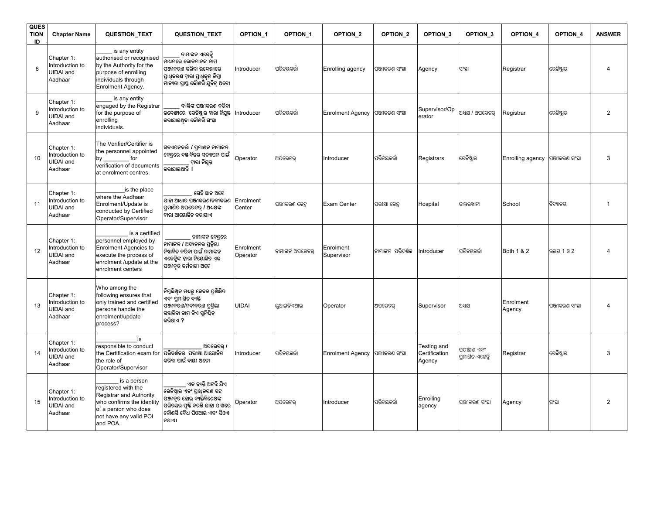| <b>QUES</b><br><b>TION</b><br>ID | <b>Chapter Name</b>                                         | <b>QUESTION TEXT</b>                                                                                                                                            | <b>QUESTION TEXT</b>                                                                                                                                  | <b>OPTION 1</b>       | <b>OPTION 1</b> | <b>OPTION 2</b>                  | <b>OPTION 2</b>   | OPTION 3                               | <b>OPTION 3</b>               | <b>OPTION 4</b>                  | <b>OPTION 4</b> | <b>ANSWER</b>  |
|----------------------------------|-------------------------------------------------------------|-----------------------------------------------------------------------------------------------------------------------------------------------------------------|-------------------------------------------------------------------------------------------------------------------------------------------------------|-----------------------|-----------------|----------------------------------|-------------------|----------------------------------------|-------------------------------|----------------------------------|-----------------|----------------|
| 8                                | Chapter 1:<br>ntroduction to<br>JIDAI and<br>Aadhaar        | is any entity<br>authorised or recognised<br>by the Authority for the<br>purpose of enrolling<br>individuals through<br>Enrolment Agency.                       | ନାମାଙ୍କନ ଏଜେନ୍ଦି<br>ମାଧ୍ୟମରେ ଲୋକମାନଙ୍କ ନାମ<br>ପଞ୍ଜୀକରଣ କରିବା ଉଦ୍ଦେଶ୍ୟରେ<br>ପାଧକରଣ ହାରା ପାଧିକୃତ କିମ୍ବା<br>ମାନ୍ୟତା ପାସ୍ତ କୌଣସି ୟୁନିଟ୍ ଅଟେ।              | Introducer            | ପରିଚୟକର୍ତ୍ତା    | Enrolling agency                 | ପଞ୍ଜୀକରଣ ସଂସ୍ଥା   | Agency                                 | ସଂସ୍ଥା                        | Registrar                        | ରେଜିଷ୍ଟାର       | $\overline{4}$ |
| 9                                | Chapter 1:<br>ntroduction to<br><b>JIDAI</b> and<br>Aadhaar | is any entity<br>engaged by the Registrar<br>for the purpose of<br>enrolling<br>individuals.                                                                    | ବ୍ୟକ୍ତିଙ୍କ ପଞ୍ଜୀକରଣ କରିବା<br>ଭଦ୍ଦେଶ୍ୟରେ  ରେଜିଷ୍ଟାର ଦ୍ୱାରା ନିଯ୍ତ Introducer<br>କରାଯାଇଥିବା କୌଣସି ସଂସ୍ଥା                                                 |                       | ପରିଚୟକର୍ତ୍ତା    | Enrolment Agency ପଞ୍ଜୀକରଣ ସଂସ୍ଥା |                   | Supervisor/Op<br>erator                | ଅଧ୍ୟକ୍ଷ / ଅପରେଟର              | Registrar                        | ରେଜିଷ୍ଟାର       | $\mathbf{2}$   |
| 10                               | Chapter 1:<br>ntroduction to<br><b>JIDAI</b> and<br>Aadhaar | The Verifier/Certifier is<br>the personnel appointed<br>by<br>for<br>verification of documents<br>at enrolment centres.                                         | ସତ୍ୟାପନକର୍ତ୍ତା / ପ୍ରମାଶକ ନାମାଙ୍କନ<br>କେନ୍ଦରେ ଦଷ୍ଟାବିଜର ସତ୍ୟାପନ ପାଇଁ<br>ଦ୍ୱାରା ନିଯୁକ୍ତ<br>କରାଯାଇଥା <del>ତ</del> ି l                                    | Operator              | ଅପରେଟର୍         | Introducer                       | ପରିଚୟକର୍ତ୍ତା      | Registrars                             | ରେଜିଷ୍ଟାର                     | Enrolling agency ପଞ୍ଜୀକରଣ ସଂସ୍ଥା |                 | 3              |
| 11                               | Chapter 1:<br>ntroduction to<br><b>JIDAI</b> and<br>Aadhaar | is the place<br>where the Aadhaar<br>Enrolment/Update is<br>conducted by Certified<br>Operator/Supervisor                                                       | ସେହି ସ୍ଥାନ ଅଟେ<br>ଯାହା ଆଧାର ପଞ୍ଜୀକରଣ/ନବୀକରଣ<br>ପ୍ରମାଶିତ ଅପରେଟର / ଅଧ୍ୟକ୍ଷଙ୍କ<br>ବାରା ଆୟୋଜିତ କରାଯାଏ                                                     | Enrolment<br>Center   | ପଞ୍ଜୀକରଣ କେନ୍ଦ  | Exam Center                      | ପରୀକ୍ଷା କେନ୍ଦ     | Hospital                               | ଡାକ୍ତରଖାନା                    | School                           | ବିଦ୍ୟାଳୟ        | $\mathbf{1}$   |
| 12                               | Chapter 1:<br>ntroduction to<br>JIDAI and<br>Aadhaar        | is a certified<br>personnel employed by<br><b>Enrolment Agencies to</b><br>execute the process of<br>enrolment /update at the<br>enrolment centers              | ନାମାଙ୍କନ କେନ୍ଦରେ<br>ନାମାଙ୍କନ / ଅଦ୍ୟତନର ପ୍ରକିୟା<br>ନିଷାଦିତ କରିବା ପାଇଁ ନାମାଙ୍କନ<br>ଏଜେନିଙ୍କ ହାରା ନିୟୋକିତ ଏକ<br>ପଞ୍ଜୀକୃତ କର୍ମଚାରୀ ଅଟେ                    | Enrolment<br>Operator | ନାମାଙ୍କନ ଅପରେଟର | Enrolment<br>Supervisor          | ନାମାଙ୍କନ ପରିଦର୍ଶକ | Introducer                             | ପରିଚୟକର୍ତ୍ତା                  | Both 1 & 2                       | ଉଭୟ 1 ଓ 2       | $\overline{4}$ |
| 13                               | Chapter 1:<br>ntroduction to<br>JIDAI and<br>Aadhaar        | Who among the<br>following ensures that<br>only trained and certified<br>persons handle the<br>enrolment/update<br>process?                                     | ନିମ୍ନଲିଖିତ ମଧ୍ୟର କେବଳ ପ୍ରଶିକ୍ଷିତ<br>ଏବଂ ପମାଣିତ ବ୍ୟିକ୍ତି<br>ପଞ୍ଜୀକରଣ/ନବୀକରଣ ପ୍ରକ୍ରିୟା<br>ସଷ୍ପଳିବା କାମ କିଏ ସ୍ନିଷ୍ଟିତ<br>କରିଥାଏ ?                        | <b>UIDAI</b>          | ୟଆଇଡିଏଆଇ        | Operator                         | ଅପରେଟର୍           | Supervisor                             | ଅଧ୍ୟକ୍ଷ                       | Enrolment<br>Agency              | ପଞ୍ଜୀକରଣ ସଂସ୍ଥା | $\overline{4}$ |
| 14                               | Chapter 1:<br>ntroduction to<br>JIDAI and<br>Aadhaar        | is<br>responsible to conduct<br>the Certification exam for<br>the role of<br>Operator/Supervisor                                                                | ଅପରେଟର /<br>ପରିଦର୍ଶକର  ପରୀକ୍ଷା ଆୟୋକିତ<br>କରିବା ପାଇଁ ଦାୟୀ ଅଟେ।                                                                                         | Introducer            | ପରିଚୟକର୍ତ୍ତା    | Enrolment Agency ପଞ୍ଜୀକରଣ ସଂସା   |                   | Testing and<br>Certification<br>Agency | ପରୀକ୍ଷଣ ଏବଂ<br>ପମାଣିତ ଏଜେନ୍ଦି | Registrar                        | ରେଜିଷ୍ଟାର       | 3              |
| 15                               | Chapter 1:<br>ntroduction to<br><b>JIDAI</b> and<br>Aadhaar | is a person<br>registered with the<br><b>Registrar and Authority</b><br>who confirms the identity<br>of a person who does<br>not have any valid POI<br>and POA. | ଏକ ବ୍ୟକ୍ତି ଅଟନ୍ତି ଯିଏ<br>ରେଜିଷ୍ଟାର ଏବଂ ପାଧକରଣ ସହ<br>ପଞ୍ଜୀକତ ହୋଇ ବ୍ୟକ୍ତିବିଶେଷଙ୍କ<br>ପରିଚୟର ପୃଷ୍ଟି କରତି ଯାହା ପାଖରେ<br>କୌଣସି ବୈଧ ପିଓଆଇ ଏବଂ ପିଓଏ<br>ନଥାଏ। | Operator              | ଅପରେଟର          | Introducer                       | ପରିଚୟକର୍ତ୍ତା      | Enrolling<br>agency                    | ପଞ୍ଜୀକରଣ ସଂସ୍ଥା               | Agency                           | ସଂସ୍ଥା          | $\mathfrak{p}$ |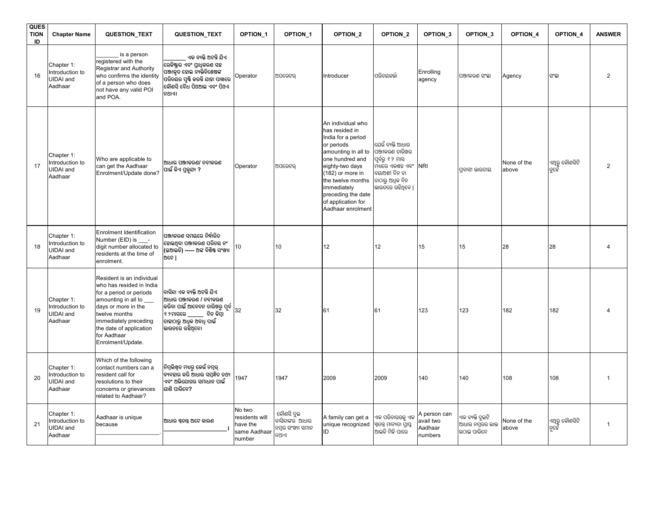| <b>QUES</b><br><b>TION</b><br>ID | <b>Chapter Name</b>                                          | QUESTION_TEXT                                                                                                                                                                                                                               | QUESTION_TEXT                                                                                                                                                      | OPTION <sub>1</sub>                                            | OPTION <sub>1</sub>                                         | OPTION_2                                                                                                                                                                                                                                                      | OPTION_2                                                                                                                         | OPTION <sub>3</sub>                             | OPTION <sub>3</sub>                               | OPTION <sub>4</sub>  | OPTION_4                | <b>ANSWER</b>  |
|----------------------------------|--------------------------------------------------------------|---------------------------------------------------------------------------------------------------------------------------------------------------------------------------------------------------------------------------------------------|--------------------------------------------------------------------------------------------------------------------------------------------------------------------|----------------------------------------------------------------|-------------------------------------------------------------|---------------------------------------------------------------------------------------------------------------------------------------------------------------------------------------------------------------------------------------------------------------|----------------------------------------------------------------------------------------------------------------------------------|-------------------------------------------------|---------------------------------------------------|----------------------|-------------------------|----------------|
| 16                               | Chapter 1:<br>Introduction to<br><b>UIDAI</b> and<br>Aadhaar | is a person<br>registered with the<br>Registrar and Authority<br>who confirms the identity<br>of a person who does<br>not have any valid POI<br>and POA.                                                                                    | ଏକ ବ୍ୟକ୍ତି ଅଟନ୍ତି ଯିଏ<br>ରେଜିଷ୍ଟାର ଏବଂ ପାଧିକରଣ ସହ<br>ପଞ୍ଜୀକୃତ ହୋଇ ବ୍ୟକ୍ତିବିଶେଷଙ୍କ<br>ପରିଚୟର ପଷ୍ଟି କରନ୍ତି ଯାହା ପାଖରେ<br>କୌଣସି ବୈଧ ପିଓଆଇ ଏବଂ ପିଓଏ<br>ନଥାଏ।           | Operator                                                       | ଅପରେଟର୍                                                     | Introducer                                                                                                                                                                                                                                                    | ପରିଚୟକର୍ତ୍ତା                                                                                                                     | Enrolling<br>agency                             | ପଞ୍ଜୀକରଣ ସଂସ୍ଥା                                   | Agency               | ସଂସ୍ଥା                  | $\overline{2}$ |
| 17                               | Chapter 1:<br>Introduction to<br><b>UIDAI</b> and<br>Aadhaar | Who are applicable to<br>can get the Aadhaar<br>Enrolment/Update done?                                                                                                                                                                      | ଆଧାର ପଞ୍ଜୀକରଣ/ ନବୀକରଣ<br>ପାଇଁ କିଏ ପ୍ରକ୍ଷୟ ?                                                                                                                        | Operator                                                       | ଅପରେଟର                                                      | An individual who<br>has resided in<br>India for a period<br>or periods<br>amounting in all to<br>one hundred and<br>eighty-two days<br>(182) or more in<br>the twelve months<br>immediately<br>preceding the date<br>of application for<br>Aadhaar enrolment | ଯେଉଁ ବ୍ୟକ୍ତି ଆଧାର<br>ପଞ୍ଜୀକରଣ ତାରିଖର<br>ପର୍ବରୁ ୧୨ ମାସ<br>ମଧ୍ୟରେ ଏକଶହ ଏବଂ<br>ବୟାଅଶୀ ଦିନ ବା<br>ତାଠାରୁ ଅଧିକ ଦିନ<br>ଭାରତରେ ରହିଥିବେ । | <b>NRI</b>                                      | ପବାସୀ ଭାରତୀୟ                                      | None of the<br>above | ଏଥିରୁ କୌଣସିଟି<br>ନୁହେଁ  | $\overline{2}$ |
| 18                               | Chapter 1:<br>Introduction to<br><b>UIDAI</b> and<br>Aadhaar | Enrolment Identification<br>Number (EID) is ___-<br>digit number allocated to<br>residents at the time of<br>enrolment.                                                                                                                     | ପଞ୍ଜୀକରଣ ସମୟରେ ନିର୍ଦ୍ଧାରିତ<br>ହୋଇଥବା ପଞ୍ଜୀକରଣ ପରିଚୟ ନଂ<br>(ଇଆଇଡି) ----- ଅଙ୍କ ବିଶିଷ୍ଟ ସଂଖ୍ୟା<br>ଅଟେ                                                                 | 10                                                             | 10                                                          | 12                                                                                                                                                                                                                                                            | 12                                                                                                                               | 15                                              | 15                                                | 28                   | 28                      | $\overline{4}$ |
| 19                               | Chapter 1:<br>Introduction to<br><b>UIDAI</b> and<br>Aadhaar | Resident is an individual<br>who has resided in India<br>for a period or periods<br>amounting in all to ___<br>days or more in the<br>twelve months<br>immediately preceding<br>the date of application<br>for Aadhaar<br>Enrolment/Update. | ବାସିନ୍ଦା ଏକ ବ୍ୟକ୍ତି ଅଟନ୍ତି ଯିଏ<br>ଆଧାର ପଞ୍ଜୀକରଣ / ନବୀକରଣ<br>କରିବା ପାଇଁ ଆବେଦନ ତାରିଖରୁ ପୂର୍ବ<br>୧ ୨ମାସରେ<br>ଦିନ କିମ୍ବା<br>ତାହାଠାରୁ ଅଧିକ ଅବଧି ପାଇଁ<br>ଭାରତରେ ରହିଥିବେ। | 32                                                             | 32                                                          | 61                                                                                                                                                                                                                                                            | 61                                                                                                                               | 123                                             | 123                                               | 182                  | 182                     | 4              |
| 20                               | Chapter 1:<br>Introduction to<br><b>UIDAI</b> and<br>Aadhaar | Which of the following<br>contact numbers can a<br>resident call for<br>resolutions to their<br>concerns or grievances<br>related to Aadhaar?                                                                                               | ନିମ୍ନଲିଖିତ ମଧ୍ୟରୁ କେଉଁ ନମ୍ବର୍<br>ବ୍ୟବହାର କରି ଆଧାର ସମ୍ବନ୍ଧିତ ତଥ୍ୟ<br>ଏବଂ ଅଭିଯୋଗର ସମାଧାନ ପାଇଁ<br>ଯାଣି ପାରିବେ?                                                        | 1947                                                           | 1947                                                        | 2009                                                                                                                                                                                                                                                          | 2009                                                                                                                             | 140                                             | 140                                               | 108                  | 108                     | $\mathbf{1}$   |
| 21                               | Chapter 1:<br>Introduction to<br><b>UIDAI</b> and<br>Aadhaar | Aadhaar is unique<br>because                                                                                                                                                                                                                | ଆଧାର ସ୍ୱତନ୍ତ୍ର ଅଟେ କାରଣ                                                                                                                                            | No two<br>residents will<br>have the<br>same Aadhaai<br>number | କୌଣସି ଦୁଇ<br>ବାସିନ୍ଦାଙ୍କର ଆଧାର<br>ନମ୍ବର ସଂଖ୍ୟା ସମାନ<br>ନଥାଏ | A family can get a<br>unique recognized<br>ID                                                                                                                                                                                                                 | ଏକ ପରିବାରରକୁ ଏକ<br>ସ୍ୱତନ୍ତ୍ର ମାନ୍ୟତା ପ୍ରାପ୍ତ<br>ଆଇଡି ମିଳି ପାରେ                                                                   | A person can<br>avail two<br>Aadhaar<br>numbers | ଏକ ବ୍ୟକ୍ତି ଦଇଟି<br>ଆଧାର ନମ୍ବରର ଲାଭ<br>ଉଠାଇ ପାରିବେ | None of the<br>above | ଏଥ୍ୟରୁ କୌଣସିଟି<br>ନୁହେଁ | $\mathbf{1}$   |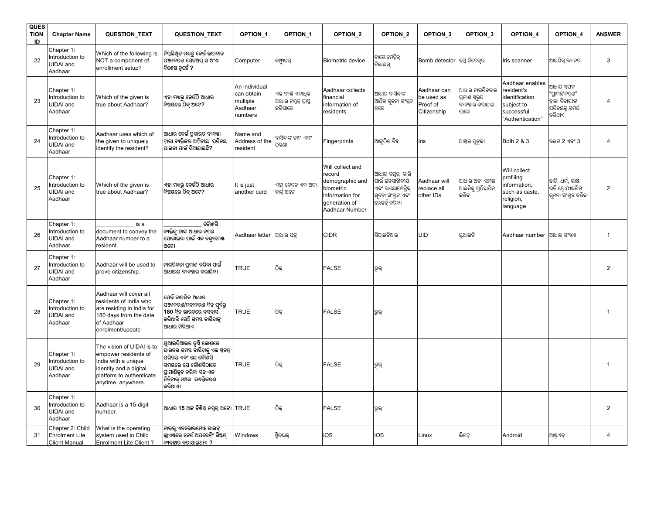| QUES<br><b>TION</b><br>ID | <b>Chapter Name</b>                                               | QUESTION_TEXT                                                                                                                                        | QUESTION_TEXT                                                                                                                                                          | OPTION <sub>1</sub>                                           | OPTION <sub>1</sub>                                | OPTION <sub>2</sub>                                                                                              | OPTION <sub>2</sub>                                                                       | OPTION <sub>3</sub>                                  | OPTION <sub>3</sub>                                       | OPTION_4                                                                                       | OPTION_4                                                                   | <b>ANSWER</b>           |
|---------------------------|-------------------------------------------------------------------|------------------------------------------------------------------------------------------------------------------------------------------------------|------------------------------------------------------------------------------------------------------------------------------------------------------------------------|---------------------------------------------------------------|----------------------------------------------------|------------------------------------------------------------------------------------------------------------------|-------------------------------------------------------------------------------------------|------------------------------------------------------|-----------------------------------------------------------|------------------------------------------------------------------------------------------------|----------------------------------------------------------------------------|-------------------------|
| 22                        | Chapter 1:<br>Introduction to<br><b>JIDAI</b> and<br>Aadhaar      | Which of the following is<br>NOT a component of<br>enrollment setup?                                                                                 | ନିମ୍ନଲିଖିତ ମଧ୍ୟର୍ କେଉଁ ଉପାଦାନ<br>ପଞ୍ଜୀକରଣ ସେଟଅପ ର ଅଂଶ<br>ବିଶେଷ ନହେଁ ?                                                                                                  | Computer                                                      | କମ୍ପ୍ୟୁଟର୍                                         | <b>Biometric device</b>                                                                                          | ମୟୋମେଟ୍ରିକ୍<br>ଟିଭାଇସ                                                                     | Bomb detector ବମ୍ବ ଡିଟେକ୍ଟର                          |                                                           | Iris scanner                                                                                   | ଆଇରିସ ସ୍କ୍ୟାନର                                                             | 3                       |
| 23                        | Chapter 1:<br>Introduction to<br><b>JIDAI</b> and<br>Aadhaar      | Which of the given is<br>true about Aadhaar?                                                                                                         | ଏହା ମଧ୍ୟରୁ କେଉଁଠି ଆଧାର<br>ବିଷୟରେ ଠିକ ଅଟେ?                                                                                                                              | An individual<br>can obtain<br>multiple<br>Aadhaar<br>numbers | ଏକ ବ୍ୟକ୍ତି ଏକାଧକ<br>ଆଧାର ନମ୍ବର୍ ପ୍ରାସ୍ତ<br>କରିପାରେ | Aadhaar collects<br>financial<br>information of<br>residents                                                     | ଆଧାର ବାସିନ୍ଦାଙ୍କ<br>ଆର୍ଥିକ ସ୍ୱଚନା ସଂଗ୍ରହ<br>ନରେ                                           | Aadhaar can<br>be used as<br>Proof of<br>Citizenship | ଆଧାର ନାଗରିକତାର<br>ପ୍ରମାଣ ସ୍ୱରୂପ<br>ବ୍ୟବହାର କରାଯାଇ<br>ପାରେ | Aadhaar enables<br>esident's<br>identification<br>subject to<br>successful<br>'Authentication" | ଆଧାର ସଫଳ<br>"ପ୍ରାମାଶିକରଣ"<br>ଦ୍ୱାରା ନିବାସୀଙ୍କ<br>ପରିଚୟକୁ ସମର୍ଥ<br>କରିଥାଏ । | $\overline{\mathbf{4}}$ |
| 24                        | Chapter 1:<br>Introduction to<br><b>JIDAI</b> and<br>Aadhaar      | Aadhaar uses which of<br>the given to uniquely<br>identify the resident?                                                                             | ଆଧାର କେଉଁ ପକାରର ବ୍ୟବସ୍ଥା<br>ହାରା ବ୍ୟକ୍ତିଙ୍କର ଅଦ୍ୱିତୀୟ  ପରିଚୟ<br>ପାଇବା ପାଇଁ ଦିଆଯାଇଛି?                                                                                   | Name and<br>Address of the<br>resident                        | ହାସିନ୍ଦାଙ୍କ ନାମ ଏବଂ<br>ଠିକଣା                       | <b>Fingerprints</b>                                                                                              | ଆଙ୍ଗ୍ରିର ଚିହ୍ନ                                                                            | Iris                                                 | ଆଖିର ପୁତଳୀ                                                | Both 2 & 3                                                                                     | ଉଭୟ 2 ଏବଂ 3                                                                | 4                       |
| 25                        | Chapter 1:<br>Introduction to<br><b>JIDAI</b> and<br>Aadhaar      | Which of the given is<br>true about Aadhaar?                                                                                                         | ଏହା ମଧ୍ୟରୁ କେଉଁଠି ଆଧାର<br>ବିଷୟରେ ଠିକ୍ ଅଟେ?                                                                                                                             | It is just<br>another card                                    | ଏହା କେବଳ ଏକ ଅନ୍ୟ<br>କାର୍ଡ୍ ଅଟେ                     | Will collect and<br>record<br>demographic and<br>biometric<br>information for<br>generation of<br>Aadhaar Number | ଆଧାର ନମ୍ବର୍  ଜାରି<br>ପାଇଁ ଜନସାଙ୍ଗିକୀୟ<br>ଏବଂ ବାୟୋମେଟିକ<br>ସ୍ତନା ସଂଗହ ଏବଂ<br>ରେକର୍ଡ୍ କରିବ। | Aadhaar will<br>replace all<br>other IDs             | ଆଧାର ଅନ୍ୟ ସମସ୍ତ<br>ଆଇଡିକ୍ ପ୍ରତିସ୍ଥାପିତ<br>କରିବ            | Will collect<br>profiling<br>nformation,<br>such as caste,<br>religion,<br>language            | ଜାତି, ଧର୍ମ, ଭାଷା<br>ଭଳି ପ୍ରୋଫାଇଲିଙ୍ଗ<br>ସ୍ୱଚନା ସଂଗ୍ରହ କରିବ।                | $\overline{2}$          |
| 26                        | Chapter 1:<br>Introduction to<br><b>JIDAI</b> and<br>Aadhaar      | is a<br>document to convey the<br>Aadhaar number to a<br>resident.                                                                                   | କୌଣସି<br>ବ୍ୟକ୍ତିଙ୍କ ତାଙ୍କ ଆଧାର ନମ୍ବର<br>ଯୋଗାଁଇବା ପାଇଁ ଏକ ଡକ୍ୟୁମେଷ<br>ଅଟେ।                                                                                              | Aadhaar letter                                                | ଆଧାର ପତ୍ର                                          | <b>CIDR</b>                                                                                                      | ସିଆଇଡିଆର                                                                                  | <b>UID</b>                                           | ୟଆଇଡି                                                     | Aadhaar number                                                                                 | ଆଧାର ସଂଖ୍ୟା                                                                | $\mathbf{1}$            |
| 27                        | Chapter 1:<br>Introduction to<br><b>JIDAI</b> and<br>Aadhaar      | Aadhaar will be used to<br>prove citizenship.                                                                                                        | ନାଗରିକତା ପ୍ରମାଣ କରିବା ପାଇଁ<br>ଆଧାରର ବ୍ୟବହାର କରାଯିବ।                                                                                                                    | <b>TRUE</b>                                                   | ଠିକ୍                                               | <b>FALSE</b>                                                                                                     | ଭୁଲ୍                                                                                      |                                                      |                                                           |                                                                                                |                                                                            | $\overline{2}$          |
| 28                        | Chapter 1:<br>ntroduction to<br><b>JIDAI</b> and<br>Aadhaar       | Aadhaar will cover all<br>residents of India who<br>are residing in India for<br>180 days from the date<br>of Aadhaar<br>enrolment/update            | ଯେଉଁ ନାଗରିକ ଆଧାର<br>ପଞ୍ଜୀକରଣ/ନବୀକରଣ ଦିନ ପର୍ବରୂ<br>180 ଦିନ ଭାରତରେ ବସବାସ<br>କରିଥାନ୍ତି ସେହି ସମଷ୍ତ ବାସିନ୍ଦାଙ୍କ<br>ଆଧାର ମିଳିଥାଏ                                             | <b>TRUE</b>                                                   | ଠିକ୍                                               | <b>FALSE</b>                                                                                                     | ଭୁଲ୍                                                                                      |                                                      |                                                           |                                                                                                |                                                                            | 1                       |
| 29                        | Chapter 1:<br>Introduction to<br><b>JIDAI</b> and<br>Aadhaar      | The vision of UIDAI is to<br>empower residents of<br>India with a unique<br>identity and a digital<br>platform to authenticate<br>anytime, anywhere. | ୟଆଇଡିଆଇର ଦୃଷ୍ଟି କୋଣରେ<br>ଭାରତର ସମୟ ବାସିନ୍ଦାକ୍ ଏକ ସ୍ୱତନ୍ତ୍ର<br>ପରିଚୟ ଏବଂ ଯେ କୌଣସି<br>ସମୟରେ ଯେ କୌଣସିଠାରେ<br>ପାମାଣିକତ କରିବା ସହ ଏକ<br>ତିକିଟାଲ୍ ମଞ୍ଚର  ସଶକ୍ତିକରଣ<br>କରିଥାଏ। | <b>TRUE</b>                                                   | ଠିକ୍                                               | <b>FALSE</b>                                                                                                     | ଭୁଲ୍                                                                                      |                                                      |                                                           |                                                                                                |                                                                            | $\mathbf{1}$            |
| 30                        | Chapter 1:<br>Introduction to<br><b>JIDAI</b> and<br>Aadhaar      | Aadhaar is a 15-digit<br>number.                                                                                                                     | ଆଧାର 15 ଅଙ୍କ ବିଶିଷ୍ଟ ନମ୍ବର୍ ଅଟେ। TRUE                                                                                                                                  |                                                               | ଠିକ୍                                               | <b>FALSE</b>                                                                                                     | ଭୁଲ୍                                                                                      |                                                      |                                                           |                                                                                                |                                                                            | $\overline{2}$          |
| 31                        | Chapter 2: Child<br><b>Enrolment Lite</b><br><b>Client Manual</b> | What is the operating<br>system used in Child<br><b>Enrolment Lite Client?</b>                                                                       | ଚାଇଲୁ ଏନରୋଲମେଷ୍ଟ ଲାଇଟ୍<br>କ୍ଲାଏକରେ କେଉଁ ଅପରେଟିଂ ସିଷ୍ଟମ୍<br>ବ୍ୟବହାର କରାଯାଇଥାଏ ?                                                                                         | Windows                                                       | <u>ଓ</u> ିଷୋକ୍                                     | iOS                                                                                                              | iOS                                                                                       | Linux                                                | ଲିନକ୍କ                                                    | Android                                                                                        | ଆଷ୍ଟ୍ରଏଡ୍                                                                  | $\overline{4}$          |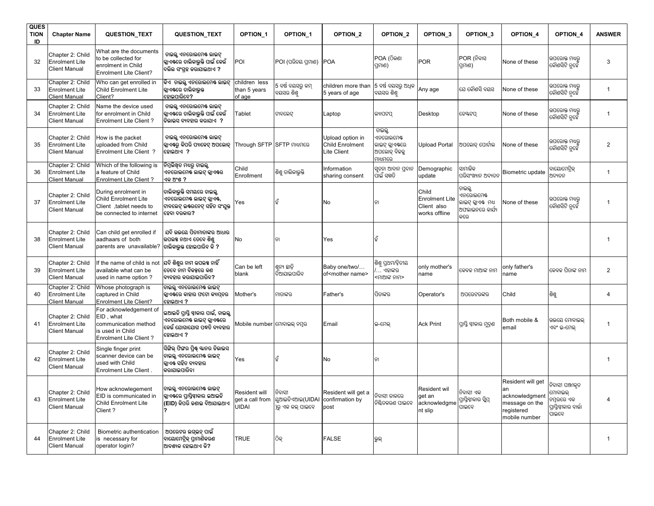| QUES<br><b>TION</b><br>ID | <b>Chapter Name</b>                                               | <b>QUESTION TEXT</b>                                                                                      | <b>QUESTION TEXT</b>                                                                                  | <b>OPTION 1</b>                                  | <b>OPTION 1</b>                           | OPTION <sub>2</sub>                                              | <b>OPTION 2</b>                                                     | OPTION 3                                                       | OPTION 3                                                              | OPTION 4                                                                                  | OPTION 4                                                                   | <b>ANSWER</b>  |
|---------------------------|-------------------------------------------------------------------|-----------------------------------------------------------------------------------------------------------|-------------------------------------------------------------------------------------------------------|--------------------------------------------------|-------------------------------------------|------------------------------------------------------------------|---------------------------------------------------------------------|----------------------------------------------------------------|-----------------------------------------------------------------------|-------------------------------------------------------------------------------------------|----------------------------------------------------------------------------|----------------|
| 32                        | Chapter 2: Child<br><b>Enrolment Lite</b><br>Client Manual        | What are the documents<br>to be collected for<br>enrolment in Child<br><b>Enrolment Lite Client?</b>      | ଚାଇଲ ଏନରୋଲମେଷ ଲାଇଟ<br>କ୍ଲାଏକରେ ତାଲିକାଭ଼ିକ ପାଇଁ କେଉଁ<br>ଦଲିଲ ସଂଗ୍ରହ କରାଯାଇଥାଏ ?                        | POI                                              | POI (ପରିଚୟ ପ୍ରମାଣ)                        | <b>POA</b>                                                       | POA (ଠିକଣା<br>ସମାଣ)                                                 | POR                                                            | POR (ନିବାସ<br>ପ୍ରମାଣ)                                                 | None of these                                                                             | ଉପରୋକ୍ତ ମଧ୍ୟରୁ<br>କୌଣସିଟି ନହେଁ                                             | 3              |
| 33                        | Chapter 2: Child<br><b>Enrolment Lite</b><br>Client Manual        | Who can get enrolled in<br><b>Child Enrolment Lite</b><br>Client?                                         | କିଏ  ଚାଇଲୁ ଏନରୋଲମେଷ୍ଟ ଲାଇଟ୍<br>କ୍ୟାଏଷରେ ତାଲିକାଭକ୍ତ<br>ହୋଇପାରିବେ?                                      | children less<br>than 5 years<br>of age          | 5 ବର୍ଷ ବୟସରୁ କମ୍<br>ବୟସର ଶିଶ              | children more than<br>5 years of age                             | 5 ବର୍ଷ ବୟସରୁ ଅଧିକ<br>ବୟସର ଶିଶ୍                                      | Any age                                                        | ଯେ କୌଣସି ବୟସ                                                          | None of these                                                                             | ଉପରୋକ୍ତ ମଧ୍ୟରୁ<br>କୌଣସିଟି ନୁହେଁଁ                                           | $\mathbf{1}$   |
| 34                        | Chapter 2: Child<br><b>Enrolment Lite</b><br>Client Manual        | Name the device used<br>for enrolment in Child<br>Enrolment Lite Client?                                  | ଚାଇଲ୍ଲ ଏନରୋଲମେଷ ଲାଇଟ୍<br>କ୍ଲାଏକରେ ତାଲିକାଭକ୍ତି ପାଇଁ କେଉଁ<br>ଡିଭାଇସ ବ୍ୟବହାର କରାଯାଏ  ?                   | Tablet                                           | ଟାବଲେଟ୍                                   | Laptop                                                           | ଲ୍ୟାପଟପ                                                             | Desktop                                                        | ଡେସ୍କଟପ୍                                                              | None of these                                                                             | ଉପରୋକ୍ତ ମଧ୍ୟରୁ<br>କୌଣସିଟି ନୁହେଁ                                            | $\mathbf{1}$   |
| 35                        | Chapter 2: Child<br><b>Enrolment Lite</b><br>Client Manual        | How is the packet<br>uploaded from Child<br>Enrolment Lite Client ?                                       | ଚାଇଲ୍ଲ ଏନରୋଲମେଷ ଲାଇଟ୍<br>କ୍ଲାଏଷ୍ଟର୍ କିପରି ପ୍ୟାକେଟ୍ ଅପଲୋଡ୍  Through SFTP  SFTP ମାଧ୍ୟମରେ<br>ହୋଇଥାଏ ?    |                                                  |                                           | Upload option in<br><b>Child Enrolment</b><br><b>Lite Client</b> | ଚାଇଲୁ<br>ଏନରୋଲମେଷ୍ଟ<br>ଲାଇଟ୍ କ୍ଲାଏଷ୍ଟରେ<br>ଅପଲୋଡ ବିଳକ୍ର<br>ମାଧ୍ୟମରେ | <b>Upload Portal</b>                                           | ଅପଲୋଡ ପୋଟାଲ                                                           | <b>None of these</b>                                                                      | ଉପରୋକ୍ତ ମଧ୍ୟର<br>କୌଶସିଟି ନୁହେଁ                                             | 2              |
| 36                        | Chapter 2: Child<br><b>Enrolment Lite</b><br><b>Client Manual</b> | Which of the following is<br>a feature of Child<br><b>Enrolment Lite Client?</b>                          | ନିମ୍ନଲିଖତ ମଧ୍ୟର ଚାଇଲ୍<br>ଏନରୋଲମେଷ ଲାଇଟ୍ କ୍ଲାଏଷର<br>ଏକ ଅଂଶ ?                                           | Child<br>Enrollment                              | ଶିଶୁ ତାଲିକାଭୁକ୍ତି                         | Information<br>sharing consent                                   | ସ୍ୱଚନା ଆଦାନ ପ୍ରଦାନ<br>ପାଇଁ ସମ୍ମତି                                   | Demographic<br>update                                          | ସାମାଜିକ<br>ପରିସଂଖ୍ୟାନ ଅଦ୍ୟତନ                                          | Biometric update                                                                          | ବାୟୋମେଟିକ୍<br>ଅଦ୍ୟତନ                                                       | $\mathbf{1}$   |
| 37                        | Chapter 2: Child<br><b>Enrolment Lite</b><br>Client Manual        | During enrolment in<br><b>Child Enrolment Lite</b><br>Client, tablet needs to<br>be connected to internet | ତାଲିକାଭକ୍ତି ସମୟରେ ଚାଇଲ୍<br>ଏନରୋଲମେଷ ଲାଇଟ କାଏଷ.<br>ଟାବଲେଟ ଇଷ୍ଠନେଟ ସହିତ ସଂଯକ୍ତ<br>ହେବା ଦରକାର?           | Yes                                              |                                           | <b>No</b>                                                        |                                                                     | Child<br><b>Enrolment Lite</b><br>Client also<br>works offline | ଚାଇଲ୍ଥ<br>ଏନରୋଲମେଷ୍ଟ<br>ଲାଇଟ କ୍ଲାଏଷ୍ଟ ମଧ୍ୟ<br>ଅଫଲାଇନରେ କାର୍ଯ୍ୟ<br>କରେ | <b>None of these</b>                                                                      | ଉପରୋକ୍ତ ମଧ୍ୟର<br>କୌଶସିଟି ନୁହେଁ                                             | $\mathbf{1}$   |
| 38                        | Chapter 2: Child<br><b>Enrolment Lite</b><br>Client Manual        | Can child get enrolled if<br>aadhaars of both<br>parents are unavailable?                                 | ଯଦି ଭଭୟେ ପିତାମାତାଙ୍କର ଆଧାର<br>ଭପଲକ୍ଷ ନଥାଏ ତେବେ ଶିଶ୍<br>ତାଲିକାଭକ୍ତ ହୋଇପାରିବ କିଁ ?                      | No                                               | ନା                                        | Yes                                                              |                                                                     |                                                                |                                                                       |                                                                                           |                                                                            | $\mathbf{1}$   |
| 39                        | Chapter 2: Child<br><b>Enrolment Lite</b><br><b>Client Manual</b> | If the name of child is not<br>available what can be<br>used in name option?                              | ଯଦି ଶିଶୁର ନାମ ଭପଲକ୍ଷ ନାହିଁ<br>ତେବେ ନାମ ବିକଳ୍ପରେ କଣ<br>ବ୍ୟବହାର କରାଯାଇପାରିବ?                            | Can be left<br>blank                             | ଶ୍ୱନ୍ୟ ଛାଡ଼ି<br>ଦିଆଯାଇପାରିବ               | Baby one/two/<br>of <mother name=""></mother>                    | ଶିଶୁ ପ୍ରଥମ/ଦ୍ୱିତୀୟ<br>ଏହାଙ୍କର<br>ମାଆଙ୍କ ନାମ>                        | only mother's<br>name                                          | କେବଳ ମାଆଙ୍କ ନାମ                                                       | only father's<br>ame                                                                      | କେବକ ପିତାଙ୍କ ନାମ                                                           | $\mathbf{2}$   |
| 40                        | Chapter 2: Child<br><b>Enrolment Lite</b><br>Client Manual        | Whose photograph is<br>captured in Child<br><b>Enrolment Lite Client?</b>                                 | ଚାଇଲ୍ ଏନରୋଲମେଷ୍ଟ ଲାଇଟ<br>କ୍ଲାଏକ୍ତରେ କାହାର ଫଟୋ କ୍ୟାପ୍ତର<br>ହୋଇଥାଏ ?                                    | Mother's                                         | ମାତାଙ୍କର                                  | Father's                                                         | ପିତାଙ୍କର                                                            | Operator's                                                     | ଅପରେଟରଙ୍କର                                                            | Child                                                                                     | ଶିଶୁ                                                                       | $\overline{4}$ |
| 41                        | Chapter 2: Child<br><b>Enrolment Lite</b><br><b>Client Manual</b> | For acknowledgement of<br>EID, what<br>communication method<br>is used in Child<br>Enrolment Lite Client? | ଇଆଇଡି ପାସ୍ତି ସ୍ୱୀକାର ପାଇଁ, ଚାଇଲ୍<br>ଏନରୋଲମେଷ ଲାଇଟ କ୍ଲାଏଷରେ<br>କେଇଁ ଯୋଗାଯୋଗ ପଦ୍ଧତି ବ୍ୟବହାର<br>ହୋଇଥାଏ ? | Mobile number ମୋବାଇଲ୍ ନମ୍ବର                      |                                           | Email                                                            | ଇ-ମେଲ୍                                                              | <b>Ack Print</b>                                               | ପ୍ରାସ୍ତି ସ୍ୱୀକାର ମୁଦ୍4ଶ                                               | Both mobile &<br>email                                                                    | ଉଭୟେ ମୋବାଇଲ<br>ଏବଂ ଇ-ମେଲ                                                   | $\mathbf{1}$   |
| 42                        | Chapter 2: Child<br><b>Enrolment Lite</b><br><b>Client Manual</b> | Single finger print<br>scanner device can be<br>used with Child<br>Enrolment Lite Client.                 | ସିଙ୍ଗିଲ ଫିଙ୍ଗର ପିଷ୍ଟ ସ୍କାନର ଡିଭାଇସ<br>ଚାଇଲ୍ ଏନରୋଲମେଷ୍ଟ ଲାଇଟ<br>କ୍ଲାଏକ୍ଟ ସହିତ ବ୍ୟବହାର<br>କରାଯାଇପାରିବ।  | Yes                                              | ାରୁ                                       | <b>No</b>                                                        | ନା                                                                  |                                                                |                                                                       |                                                                                           |                                                                            | $\mathbf{1}$   |
| 43                        | Chapter 2: Child<br><b>Enrolment Lite</b><br>Client Manual        | How acknowlegement<br>EID is communicated in<br><b>Child Enrolment Lite</b><br>Client?                    | ଚାଇଲୁ ଏନରୋଲମେଷ ଲାଇଟ୍<br>କ୍ଲାଏକରେ ପାସ୍ତିସ୍ତୀକାର ଇଆଇଡି<br>(EID) କିପରି କଣାଇ ଦିଆଯାଇଥାଏ                    | Resident will<br>get a call from<br><b>UIDAI</b> | ନିବାସୀ<br>ୟଆଇଡିଏଆଇ(UIDA<br>)ର ଏକ କଲ ପାଇବେ | Resident will get a<br>confirmation by<br>post                   | <sup>ମ୍</sup> ବାସୀ ଡାକରେ<br>ନିଷ୍ଟିତକରଣ ପାଇବେ                        | <b>Resident wil</b><br>get an<br>acknowledgm<br>nt slip        | ନିବାସୀ ଏକ<br>ପ୍ରାସ୍ତିସ୍ୱୀକାର ସ୍କିପ୍<br>ପାଇବେ                          | Resident will get<br>an<br>acknowledgment<br>nessage on the<br>egistered<br>mobile number | ନିବାସୀ ପଞ୍ଜୀକତ<br>ମୋବାଇଲ୍<br>ନମ୍ବରରେ ଏକ<br>ପାସ୍ତିସ୍ତୀକାର ବାର୍ତ୍ତା<br>ପାଇବେ | $\overline{4}$ |
| 44                        | Chapter 2: Child<br><b>Enrolment Lite</b><br><b>Client Manual</b> | Biometric authentication<br>is necessary for<br>operator login?                                           | ଅପରେଟର ଲଗ୍ନଇନ୍ ପାଇଁ<br>ବାୟୋମେଟିକ୍ ପ୍ରାମାଶିକରଣ<br>ଆବଶ୍ୟକ ହୋଇଥାଏ କି?                                    | <b>TRUE</b>                                      | ଠିକ୍                                      | <b>FALSE</b>                                                     | ଭୁଲ୍                                                                |                                                                |                                                                       |                                                                                           |                                                                            | $\mathbf{1}$   |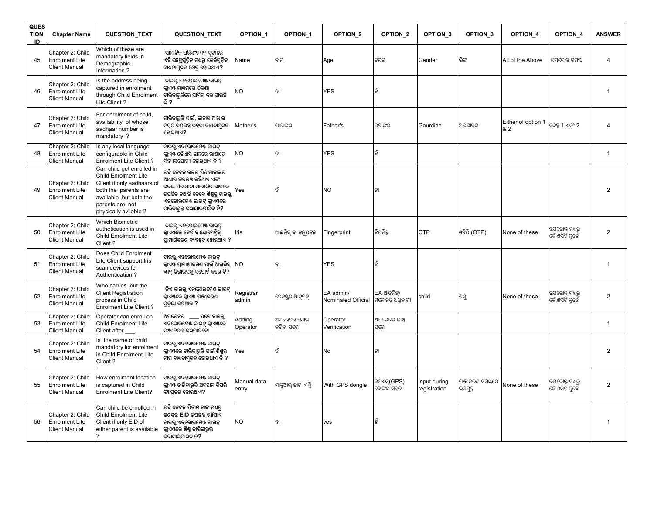| QUES<br><b>TION</b><br>ID | <b>Chapter Name</b>                                               | <b>QUESTION_TEXT</b>                                                                                                                                                           | QUESTION_TEXT                                                                                                                                                             | OPTION <sub>1</sub>  | OPTION <sub>1</sub>     | OPTION <sub>2</sub>             | OPTION <sub>2</sub>         | OPTION_3                     | OPTION <sub>3</sub>      | OPTION_4                  | OPTION_4                         | <b>ANSWER</b>  |
|---------------------------|-------------------------------------------------------------------|--------------------------------------------------------------------------------------------------------------------------------------------------------------------------------|---------------------------------------------------------------------------------------------------------------------------------------------------------------------------|----------------------|-------------------------|---------------------------------|-----------------------------|------------------------------|--------------------------|---------------------------|----------------------------------|----------------|
| 45                        | Chapter 2: Child<br><b>Enrolment Lite</b><br><b>Client Manual</b> | Which of these are<br>mandatory fields in<br>Demographic<br>Information?                                                                                                       | ସାମାଜିକ ପରିସଂଖ୍ୟାନ ସ୍ତୀରେ<br>ଏହି କ୍ଷେତ୍ରଗୁଡ଼ିକ ମଧ୍ୟରୁ କେରାଁଗୁଡ଼ିକ<br>ବାଧ୍ୟତାମଳକ କ୍ଷେତ୍ର ହୋଇଥାଏ?                                                                           | Name                 | ନାମ                     | Age                             | ବୟସ                         | Gender                       | ଲିଙ୍ଗ                    | All of the Above          | ଉପରୋକ୍ତ ସମୟ                      | 4              |
| 46                        | Chapter 2: Child<br><b>Enrolment Lite</b><br><b>Client Manual</b> | Is the address being<br>captured in enrolment<br>through Child Enrolment<br>Lite Client?                                                                                       | ଚାଇଲୁ ଏନରୋଲମେଷ ଲାଇଟ୍<br>କ୍ୱାଏକ ମାଧ୍ୟମରେ ଠିକଣା<br>ଡାଲିକାଭୁକ୍ତିରେ ସାମିଲ୍ କରାଯାଇଛି<br>କି ?                                                                                   | <b>NO</b>            | ନା                      | <b>YES</b>                      | ଟ୍                          |                              |                          |                           |                                  | $\mathbf{1}$   |
| 47                        | Chapter 2: Child<br><b>Enrolment Lite</b><br><b>Client Manual</b> | For enrolment of child,<br>availability of whose<br>aadhaar number is<br>mandatory ?                                                                                           | ତାଲିକାଭୁକ୍ତି ପାଇଁ, କାହାର ଆଧାର<br>ନମ୍ବର ଉପଲକ୍ତ ରହିବା ବାଧ୍ୟତାମ୍ଳକ<br>ହୋଇଥାଏ?                                                                                                | Mother's             | ମାତାଙ୍କର                | Father's                        | ପିତାଙ୍କର                    | Gaurdian                     | ଅଭିଭାବକ                  | Either of option 1<br>& 2 | ବିକଳ୍ପ 1 ଏବଂ 2                   | $\overline{4}$ |
| 48                        | Chapter 2: Child<br><b>Enrolment Lite</b><br><b>Client Manual</b> | Is any local language<br>configurable in Child<br>Enrolment Lite Client?                                                                                                       | ଚାଇଲୁ ଏନରୋଲମେଷ ଲାଇଟ୍<br>କାଏକ କୌଣସି ଛାନରେ ଭାଷାରେ<br>ବିନ୍ୟାସଯୋଗ୍ୟ ହୋଇଥାଏ କି ?                                                                                               | <b>NO</b>            | ନା                      | <b>YES</b>                      | ତଁ                          |                              |                          |                           |                                  | $\mathbf{1}$   |
| 49                        | Chapter 2: Child<br><b>Enrolment Lite</b><br><b>Client Manual</b> | Can child get enrolled in<br>Child Enrolment Lite<br>Client if only aadhaars of<br>both the parents are<br>available, but both the<br>parents are not<br>physically avilable ? | ଯଦି କେବଳ ଉଭୟ ପିତାମାତାଙ୍କର<br>ଆଧାର ଭପଲଞ୍ଚ ରହିଥାଏ ଏବଂ<br>ଭଭୟ ପିତାମାତା ଶାରୀରିକ ଭାବରେ<br>ଭପଛିତ ନଥାତି ତେବେ ଶିଶକ ଚାଇଲୁ<br>ଏନରୋଲମେଷ ଲାଇଟ କାଏଁଷ୍ଟରେ<br>ଡାଲିକାଭକ୍ତ କରାଯାଇପାରିବ କି? | Yes                  |                         | NO                              | ନା                          |                              |                          |                           |                                  | $\overline{2}$ |
| 50                        | Chapter 2: Child<br><b>Enrolment Lite</b><br><b>Client Manual</b> | Which Biometric<br>authetication is used in<br><b>Child Enrolment Lite</b><br>Client?                                                                                          | ଚାଇଲ୍ ଏନରୋଲମେଷ୍ଟ ଲାଇଟ<br>କ୍ଲାଏକରେ କେଉଁ ବାୟୋମେଟିକ<br>ସାମାଶିକରଣ ବ୍ୟବହୃତ ହୋଇଥାଏ ?                                                                                            | Iris                 | ଆଇରିସ୍ ବା ଚକ୍ଷ୍ୱପଟଳ     | Fingerprint                     | ଟିପଚିହ୍ନ                    | <b>OTP</b>                   | ଓଟିପି (OTP)              | None of these             | ଉପରୋକ୍ତ ମଧ୍ୟରୁ<br>କୌଣସିଟି ନହେଁ   | $\overline{2}$ |
| 51                        | Chapter 2: Child<br><b>Enrolment Lite</b><br><b>Client Manual</b> | Does Child Enrolment<br>Lite Client support Iris<br>scan devices for<br>Authentication?                                                                                        | ଚାଇଲୁ ଏନରୋଲମେଷ ଲାଇଟ୍<br>କ୍ଲାଏକ ପ୍ରାମାଣୀକରଣ ପାଇଁ ଆଇରିସ୍ <mark>I</mark> NO<br>ୟାନ୍ ଡିଭାଇସକୁ ସପୋର୍ଟ କରେ କି?                                                                  |                      | ନା                      | <b>YES</b>                      |                             |                              |                          |                           |                                  | $\mathbf{1}$   |
| 52                        | Chapter 2: Child<br><b>Enrolment Lite</b><br><b>Client Manual</b> | Who carries out the<br><b>Client Registration</b><br>process in Child<br><b>Enrolment Lite Client?</b>                                                                         | କିଏ ଚାଇଲୁ ଏନରୋଲମେଷ ଲାଇଟ୍<br>କ୍ଲାଏକରେ କ୍ଲାଏକ ପଞ୍ଜୀକରଣ<br>ପ୍ରକ୍ରିୟା କରିଥାନ୍ତି ?                                                                                             | Registrar<br>admin   | ରେଜିଷ୍ଟର ଆଡ଼ମିନ୍        | EA admin/<br>Nominated Official | EA ଆଡମିନ/<br>ମନୋନିତ ଅଧକାରୀ  | child                        | ଶିଶୁ                     | None of these             | ଉପରୋକ୍ତ ମଧ୍ୟରୁ<br>କୌଣସିଟି ନୁହେଁ  | $\overline{2}$ |
| 53                        | Chapter 2: Child<br><b>Enrolment Lite</b><br><b>Client Manual</b> | Operator can enroll on<br>Child Enrolment Lite<br>Client after                                                                                                                 | ପରେ ଚାଇଲୁ<br>ଅପରେଟର<br>ଏନରୋଲମେଷ ଲାଇଟ୍ କ୍ଲାଏଷରେ<br>ପଞ୍ଜୀକରଣ କରିପାରିବେ।                                                                                                     | Adding<br>Operator   | ଅପରେଟର ଯୋଗ<br>କରିବା ପରେ | Operator<br>Verification        | ଅପରେଟର ଯାଞ୍ଚ<br>ପରେ         |                              |                          |                           |                                  | $\mathbf{1}$   |
| 54                        | Chapter 2: Child<br><b>Enrolment Lite</b><br><b>Client Manual</b> | Is the name of child<br>mandatory for enrolment<br>in Child Enrolment Lite<br>Client?                                                                                          | ଚାଇଲୁ ଏନରୋଲମେଷ ଲାଇଟ୍<br>କ୍ଲାଏକରେ ତାଲିକାଭ଼ିକ ପାଇଁ ଶିଶ୍ର<br>ନାମ ବାଧ୍ୟତାମ୍ଳକ ହୋଇଥାଏ କି ?                                                                                     | Yes                  |                         | No                              | ନା                          |                              |                          |                           |                                  | $\overline{2}$ |
| 55                        | Chapter 2: Child<br><b>Enrolment Lite</b><br><b>Client Manual</b> | How enrolment location<br>is captured in Child<br><b>Enrolment Lite Client?</b>                                                                                                | ଚାଇଲୁ ଏନରୋଲମେଷ ଲାଇଟ୍<br>କ୍ଲାଏକ ତାଲିକାଭକ୍ତି ଅବସ୍ଥାନ କିପରି<br>କ୍ୟାପତର ହୋଇଥାଏ?                                                                                               | Manual data<br>entry | ମାନୁଆଲ୍ ଡାଟା ଏଷ୍ଟି      | With GPS dongle                 | ଟିପିଏସ୍(GPS)<br>ଡୋଙ୍ଗଲ ସହିତ | Input during<br>registration | ପଞ୍ଜୀକରଣ ସମୟରେ<br>ଇନପୁଟ୍ | None of these             | ଉପରୋକ୍ତ ମଧ୍ୟରୁ<br>କୌଣସିଟି ନ୍ୱହେଁ | $\overline{2}$ |
| 56                        | Chapter 2: Child<br><b>Enrolment Lite</b><br><b>Client Manual</b> | Can child be enrolled in<br><b>Child Enrolment Lite</b><br>Client if only EID of<br>either parent is available                                                                 | ଯଦି କେବଳ ପିତାମାତାଙ୍କ ମଧ୍ୟରୁ<br>କଣକର EID ଭପଲକ୍ଷ ରହିଥାଏ<br>ଚାଇଲୁ ଏନରୋଲମେଷ ଲାଇଟ୍<br>କ୍ଲାଏକରେ ଶିଶ୍ୱ ତାଲିକାଭୂକ<br>କରାଯାଇପାରିବ କି?                                              | <b>NO</b>            | ନା                      | ves                             | ଟ୍                          |                              |                          |                           |                                  | $\mathbf{1}$   |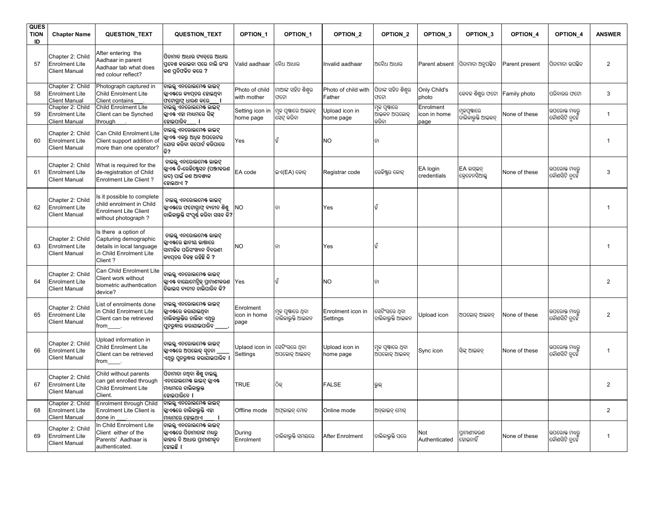| QUES<br><b>TION</b><br>ID | <b>Chapter Name</b>                                               | <b>QUESTION_TEXT</b>                                                                                            | <b>QUESTION_TEXT</b>                                                                                    | OPTION <sub>1</sub>              | OPTION <sub>1</sub>                    | OPTION <sub>2</sub>           | <b>OPTION 2</b>                     | OPTION <sub>3</sub>               | OPTION <sub>3</sub>                      | <b>OPTION 4</b> | OPTION <sub>4</sub>             | <b>ANSWER</b>  |
|---------------------------|-------------------------------------------------------------------|-----------------------------------------------------------------------------------------------------------------|---------------------------------------------------------------------------------------------------------|----------------------------------|----------------------------------------|-------------------------------|-------------------------------------|-----------------------------------|------------------------------------------|-----------------|---------------------------------|----------------|
| 57                        | Chapter 2: Child<br><b>Enrolment Lite</b><br><b>Client Manual</b> | After entering the<br>Aadhaar in parent<br>Aadhaar tab what does<br>ed colour reflect?                          | ପିଡାମାତ ଆଧାର ଟ୍ୟାବ୍ରରେ ଆଧାର<br>ପ୍ରବେଶ କରାଇବା ପରେ ନାଲି ରଂଗ<br>କଣ ପତିଫଳିତ କରେ ?                           | Valid aadhaar                    | ବୈଧ ଆଧାର                               | Invalid aadhaar               | ଅବୈଧ ଆଧାର                           | Parent absent                     | ପିତାମାତା ଅନ୍ୱପସ୍ଥିତ                      | Parent present  | ପିତାମାତା ଉପଛିତ                  | $\overline{2}$ |
| 58                        | Chapter 2: Child<br><b>Enrolment Lite</b><br><b>Client Manual</b> | Photograph captured in<br>Child Enrolment Lite<br>Client contains                                               | ଚାଇଲୁ ଏନରୋଲମେଷ୍ଟ ଲାଇଟ୍<br>କ୍ଲାଏକରେ କ୍ୟାପଚର ହୋଇଥବା<br>ଫଟୋଗାଫ୍ ଧାରଣ କରେ                                   | Photo of child<br>with mother    | ମାଆଙ୍କ ସହିତ ଶିଶ୍ୱର<br>ଫଟୋ              | Photo of child with<br>Father | ପିତାଙ୍କ ସହିତ ଶିଶ୍ୱର<br>ଫଟୋ          | Only Child's<br>photo             | କେବଳ ଶିଶୁର ଫଟୋ                           | Family photo    | ପରିବାରର ଫଟୋ                     | 3              |
| 59                        | Chapter 2: Child<br><b>Enrolment Lite</b><br><b>Client Manual</b> | Child Enrolment Lite<br>Client can be Synched<br>through                                                        | ଚାଇଲୁ ଏନରୋଲମେଷ ଲାଇଟ୍<br>କ୍ଲାଏକ୍ ଏହା ମାଧ୍ୟମରେ ସିଙ୍କ<br>ହୋଇପାରିବ                                          | Setting icon ir<br>home page     | ମୂଳ ପୃଷ୍ଠାରେ ଆଇକନ୍<br>ସେଟ୍ କରିବା       | Upload icon in<br>home page   | ମୂଳ ପୃଷ୍ଠାରେ<br>ଆଇକନ ଅପଲୋଡ<br>କରିବା | Enrolment<br>icon in home<br>page | <u>ୀ</u> ଳପୃଷ୍ଠାରେ<br>ଡାଲିକାଭୁକ୍ତି ଆଇକନ୍ | None of these   | ଉପରୋକ୍ତ ମଧ୍ୟରୁ<br>କୌଶସିଟି ନୁହେଁ | $\mathbf{1}$   |
| 60                        | Chapter 2: Child<br><b>Enrolment Lite</b><br><b>Client Manual</b> | Can Child Enrolment Lite<br>Client support addition o<br>more than one operator?                                | ଚାଇଲ୍ଥ ଏନରୋଲମେଷ ଲାଇଟ୍<br>କ୍ଲାଏକ୍ ଏକର ଅଧିକ ଅପରେଟର<br>ଯୋଗ କରିବା ସପୋର୍ଟ କରିପାରେ<br>କି?                     | Yes                              |                                        | NO                            | ନା                                  |                                   |                                          |                 |                                 | $\mathbf{1}$   |
| 61                        | Chapter 2: Child<br><b>Enrolment Lite</b><br><b>Client Manual</b> | What is required for the<br>de-registration of Child<br>Enrolment Lite Client?                                  | ଚାଇଲୁ ଏନରୋଲମେଷ ଲାଇଟ୍<br>କ୍ୱାଏକ ଡି-ରେଜିଷ୍ଟେସନ (ପଞ୍ଜୀକରଣ<br>ରଦ) ପାଇଁ କଣ ଆବଶ୍ୟକ<br>ହୋଇଥାଏ ?                | EA code                          | ଇଏ(EA) କୋଡ୍                            | Registrar code                | ରେଜିଷ୍କର କୋଡ୍                       | EA login<br>credentials           | EA ଲଗ୍ଇନ୍<br>କେଡେନସିଆଲ୍କ                 | None of these   | ଉପରୋକ୍ତ ମଧ୍ୟର୍<br>କୌଣସିଟି ନହେଁ  | 3              |
| 62                        | Chapter 2: Child<br><b>Enrolment Lite</b><br><b>Client Manual</b> | s it possible to complete<br>child enrolment in Child<br><b>Enrolment Lite Client</b><br>without photograph?    | ଚାଇଲ୍ଲ ଏନରୋଲମେଷ୍ଟ ଲାଇଟ୍<br>କ୍ଲାଏଭରେ ଫଟୋଗାଫ୍ ବ୍ୟତୀତ ଶିଶ୍<br>ତାଲିକାଭକ୍ତି ସଂପର୍ଣ୍ଣ କରିବା ସୟବ କି?           | <b>NO</b>                        | ନା                                     | Yes                           |                                     |                                   |                                          |                 |                                 | $\mathbf{1}$   |
| 63                        | Chapter 2: Child<br><b>Enrolment Lite</b><br><b>Client Manual</b> | s there a option of<br>Capturing demographic<br>details in local language<br>in Child Enrolment Lite<br>Client? | ଚାଇଲ୍ ଏନରୋଲମେଷ୍ଟ ଲାଇଟ<br>କାଏକରେ ସାନୀୟ ଭାଷାରେ<br>ସାମାଜିକ ପରିସଂଖ୍ୟାନ ବିବରଣୀ<br>କ୍ୟାପ୍ତର ବିକଳ୍ପ ରହିଛି କି ? | NO                               | ନା                                     | Yes                           |                                     |                                   |                                          |                 |                                 | $\mathbf{1}$   |
| 64                        | Chapter 2: Child<br><b>Enrolment Lite</b><br><b>Client Manual</b> | Can Child Enrolment Lite<br>Client work without<br>biometric authentication<br>device?                          | ଚାଇଲ୍ ଏନରୋଲମେଷ୍ଟ ଲାଇଟ<br>କ୍ଲାଏକ ବାୟୋମେଟ୍ରିକ୍ ପ୍ରାମାଣୀକରଣ<br>ଡିଭାଇସ ବ୍ୟତୀତ ଚାଲିପାରିବ କି <b>?</b>         | Yes                              |                                        | NO                            | ନା                                  |                                   |                                          |                 |                                 | $\overline{2}$ |
| 65                        | Chapter 2: Child<br><b>Enrolment Lite</b><br><b>Client Manual</b> | List of enrolments done<br>in Child Enrolment Lite<br>Client can be retrieved<br>from                           | ଚାଇଲ୍ଥ ଏନରୋଲମେଷ ଲାଇଟ୍<br>କ୍ୱାଏଷରେ କରାଯାଇଥବା<br>ତାଲିକାଭୁକ୍ତିର ତାଲିକା ଏଥିର<br>ପୁନରୁଦ୍ଧାର କରାଯାଇପାରିବି     | Enrolment<br>con in home<br>page | ମୂଳ ପୃଷ୍ଠାରେ ଥିବା<br>ତାଲିକାଭୁକ୍ତି ଆଇକନ | Enrolment icon in<br>Settings | ସେଟିଂସରେ ଥବା<br>ତାଲିକାଭକ୍ତି ଆଇକନ    | Jpload icon                       | ଅପଲୋଡ ଆଇକନ                               | None of these   | ଉପରୋକ୍ତ ମଧ୍ୟରୁ<br>କୌଣସିଟି ନହେଁ  | $\overline{2}$ |
| 66                        | Chapter 2: Child<br><b>Enrolment Lite</b><br><b>Client Manual</b> | Upload information in<br>Child Enrolment Lite<br>Client can be retrieved<br>from                                | ଚାଇଲୁ ଏନରୋଲମେଷ୍ଟ ଲାଇଟ୍<br>କ୍ଲାଏଷରେ ଅପଲୋଡ୍ ସୂଚନା<br>ଏଥିରୁ ପ୍ରନରୁଦ୍ଧାର କରାଯାଇପାରିବ                        | Jplaod icon in<br>Settings       | ସେଟିଂସରେ ଥବା<br>ଅପଲୋଡ୍ ଆଇକନ୍           | Upload icon in<br>home page   | ମୂଳ ପୃଷ୍ଠାରେ ଥିବା<br>ଅପଲୋଡ୍ ଆଇକନ୍   | Sync icon                         | ସିଙ୍କ୍ ଆଇକନ୍                             | None of these   | ଉପରୋକ୍ତ ମଧ୍ୟର<br>କୌଣସିଟି ନୁହେଁ  | $\mathbf{1}$   |
| 67                        | Chapter 2: Child<br><b>Enrolment Lite</b><br><b>Client Manual</b> | Child without parents<br>can get enrolled through<br><b>Child Enrolment Lite</b><br>Client.                     | ପିତାମାତା ନଥିବା ଶିଶ୍ୱ ଚାଇଲୁ<br>ଏନରୋଲମେଷ ଲାଇଟ୍ କ୍ଲାଏଷ<br>ମାଧ୍ୟମରେ ତାଲିକାଭୁକ୍ତ<br>ହୋଇପାରିବେ ।              | <b>TRUE</b>                      | ଠିକ୍                                   | <b>FALSE</b>                  | ଭୁଲ୍                                |                                   |                                          |                 |                                 | $\overline{2}$ |
| 68                        | Chapter 2: Child<br><b>Enrolment Lite</b><br><b>Client Manual</b> | Enrolment through Child<br><b>Enrolment Lite Client is</b><br>done in                                           | ଚାଇଲୁ ଏନରୋଲମେଷ ଲାଇଟ୍<br>କ୍ଲାଏକରେ ତାଲିକାଭକ୍ତି ଏହା<br>ମାଧ୍ୟମରେ ହୋଇଥାଏ                                     | Offline mode                     | ଅଫ୍ଲାଇନ୍ ମୋଡ                           | Online mode                   | ଅନ୍ଲାଇନ୍ ମୋଡ୍                       |                                   |                                          |                 |                                 | $\overline{2}$ |
| 69                        | Chapter 2: Child<br><b>Enrolment Lite</b><br><b>Client Manual</b> | n Child Enrolment Lite<br>Client either of the<br>Parents' Aadhaar is<br>authenticated.                         | ଚାଇଲ୍ଥ ଏନରୋଲମେଷ୍ଟ ଲାଇଟ୍<br>କ୍ଲାଏକ୍ତରେ ପିତାମାତାଙ୍କ ମଧ୍ୟରୁ<br>କାହାର ବି ଆଧାର ପ୍ରାମାଣୀକୃତ<br>ହୋଇଛି ।        | During<br>Enrolment              | ତାଲିକାଭୁକ୍ତି ସମୟରେ                     | <b>After Enrolment</b>        | ତାଲିକାଭୁକ୍ତି ପରେ                    | Not<br>Authenticated              | ପାମାଣୀକରଣ<br>ହୋଇନାହିଁ                    | None of these   | ଉପରୋକ୍ତ ମଧ୍ୟରୁ<br>କୌଣସିଟି ନହେଁ  | $\mathbf{1}$   |